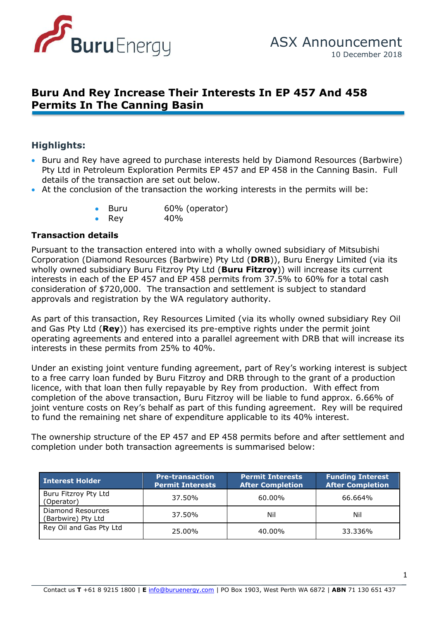

# **Buru And Rey Increase Their Interests In EP 457 And 458 Permits In The Canning Basin**

# **Highlights:**

- details of the transaction are set out below. • Buru and Rey have agreed to purchase interests held by Diamond Resources (Barbwire) Pty Ltd in Petroleum Exploration Permits EP 457 and EP 458 in the Canning Basin. Full
- details of the transaction are set out below.<br>• At the conclusion of the transaction the working interests in the permits will be:
	- Buru 60% (operator)
	- Rey  $40\%$

#### **Transaction details**

Pursuant to the transaction entered into with a wholly owned subsidiary of Mitsubishi Corporation (Diamond Resources (Barbwire) Pty Ltd (**DRB**)), Buru Energy Limited (via its wholly owned subsidiary Buru Fitzroy Pty Ltd (**Buru Fitzroy**)) will increase its current interests in each of the EP 457 and EP 458 permits from 37.5% to 60% for a total cash consideration of \$720,000. The transaction and settlement is subject to standard approvals and registration by the WA regulatory authority.

As part of this transaction, Rey Resources Limited (via its wholly owned subsidiary Rey Oil and Gas Pty Ltd (**Rey**)) has exercised its pre-emptive rights under the permit joint operating agreements and entered into a parallel agreement with DRB that will increase its interests in these permits from 25% to 40%.

Under an existing joint venture funding agreement, part of Rey's working interest is subject to a free carry loan funded by Buru Fitzroy and DRB through to the grant of a production licence, with that loan then fully repayable by Rey from production. With effect from completion of the above transaction, Buru Fitzroy will be liable to fund approx. 6.66% of joint venture costs on Rey's behalf as part of this funding agreement. Rey will be required to fund the remaining net share of expenditure applicable to its 40% interest.

The ownership structure of the EP 457 and EP 458 permits before and after settlement and completion under both transaction agreements is summarised below:

| <b>Interest Holder</b>                  | <b>Pre-transaction</b><br><b>Permit Interests</b> | <b>Permit Interests</b><br><b>After Completion</b> | <b>Funding Interest</b><br><b>After Completion</b> |
|-----------------------------------------|---------------------------------------------------|----------------------------------------------------|----------------------------------------------------|
| Buru Fitzroy Pty Ltd<br>(Operator)      | 37.50%                                            | 60.00%                                             | 66.664%                                            |
| Diamond Resources<br>(Barbwire) Pty Ltd | 37.50%                                            | Nil                                                | Nil                                                |
| Rey Oil and Gas Pty Ltd                 | 25.00%                                            | 40.00%                                             | 33.336%                                            |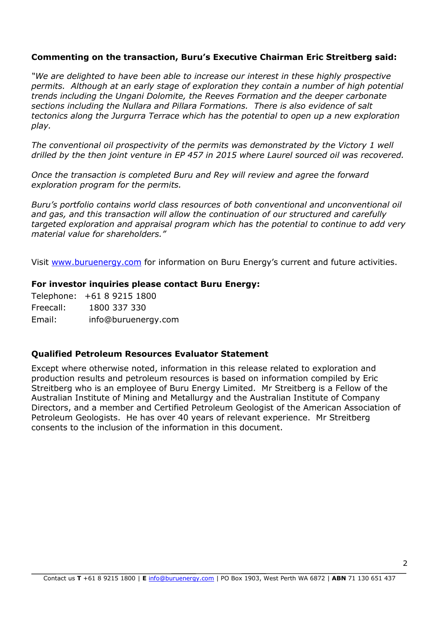## **Commenting on the transaction, Buru's Executive Chairman Eric Streitberg said:**

*"We are delighted to have been able to increase our interest in these highly prospective permits. Although at an early stage of exploration they contain a number of high potential trends including the Ungani Dolomite, the Reeves Formation and the deeper carbonate sections including the Nullara and Pillara Formations. There is also evidence of salt tectonics along the Jurgurra Terrace which has the potential to open up a new exploration play.*

*The conventional oil prospectivity of the permits was demonstrated by the Victory 1 well drilled by the then joint venture in EP 457 in 2015 where Laurel sourced oil was recovered.*

*Once the transaction is completed Buru and Rey will review and agree the forward exploration program for the permits.*

*Buru's portfolio contains world class resources of both conventional and unconventional oil and gas, and this transaction will allow the continuation of our structured and carefully targeted exploration and appraisal program which has the potential to continue to add very material value for shareholders."*

Visit [www.buruenergy.](http://www.buruenergy/)com for information on Buru Energy's current and future activities.

#### **For investor inquiries please contact Buru Energy:**

Telephone: +61 8 9215 1800 Freecall: 1800 337 330 Email: [info@buruenergy.com](mailto:info@buruenergy.com)

### **Qualified Petroleum Resources Evaluator Statement**

Except where otherwise noted, information in this release related to exploration and production results and petroleum resources is based on information compiled by Eric Streitberg who is an employee of Buru Energy Limited. Mr Streitberg is a Fellow of the Australian Institute of Mining and Metallurgy and the Australian Institute of Company Directors, and a member and Certified Petroleum Geologist of the American Association of Petroleum Geologists. He has over 40 years of relevant experience. Mr Streitberg consents to the inclusion of the information in this document.